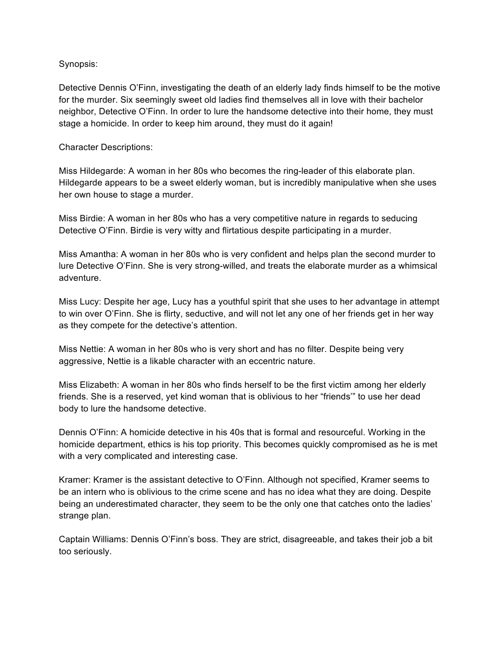## Synopsis:

Detective Dennis O'Finn, investigating the death of an elderly lady finds himself to be the motive for the murder. Six seemingly sweet old ladies find themselves all in love with their bachelor neighbor, Detective O'Finn. In order to lure the handsome detective into their home, they must stage a homicide. In order to keep him around, they must do it again!

# Character Descriptions:

Miss Hildegarde: A woman in her 80s who becomes the ring-leader of this elaborate plan. Hildegarde appears to be a sweet elderly woman, but is incredibly manipulative when she uses her own house to stage a murder.

Miss Birdie: A woman in her 80s who has a very competitive nature in regards to seducing Detective O'Finn. Birdie is very witty and flirtatious despite participating in a murder.

Miss Amantha: A woman in her 80s who is very confident and helps plan the second murder to lure Detective O'Finn. She is very strong-willed, and treats the elaborate murder as a whimsical adventure.

Miss Lucy: Despite her age, Lucy has a youthful spirit that she uses to her advantage in attempt to win over O'Finn. She is flirty, seductive, and will not let any one of her friends get in her way as they compete for the detective's attention.

Miss Nettie: A woman in her 80s who is very short and has no filter. Despite being very aggressive, Nettie is a likable character with an eccentric nature.

Miss Elizabeth: A woman in her 80s who finds herself to be the first victim among her elderly friends. She is a reserved, yet kind woman that is oblivious to her "friends'" to use her dead body to lure the handsome detective.

Dennis O'Finn: A homicide detective in his 40s that is formal and resourceful. Working in the homicide department, ethics is his top priority. This becomes quickly compromised as he is met with a very complicated and interesting case.

Kramer: Kramer is the assistant detective to O'Finn. Although not specified, Kramer seems to be an intern who is oblivious to the crime scene and has no idea what they are doing. Despite being an underestimated character, they seem to be the only one that catches onto the ladies' strange plan.

Captain Williams: Dennis O'Finn's boss. They are strict, disagreeable, and takes their job a bit too seriously.